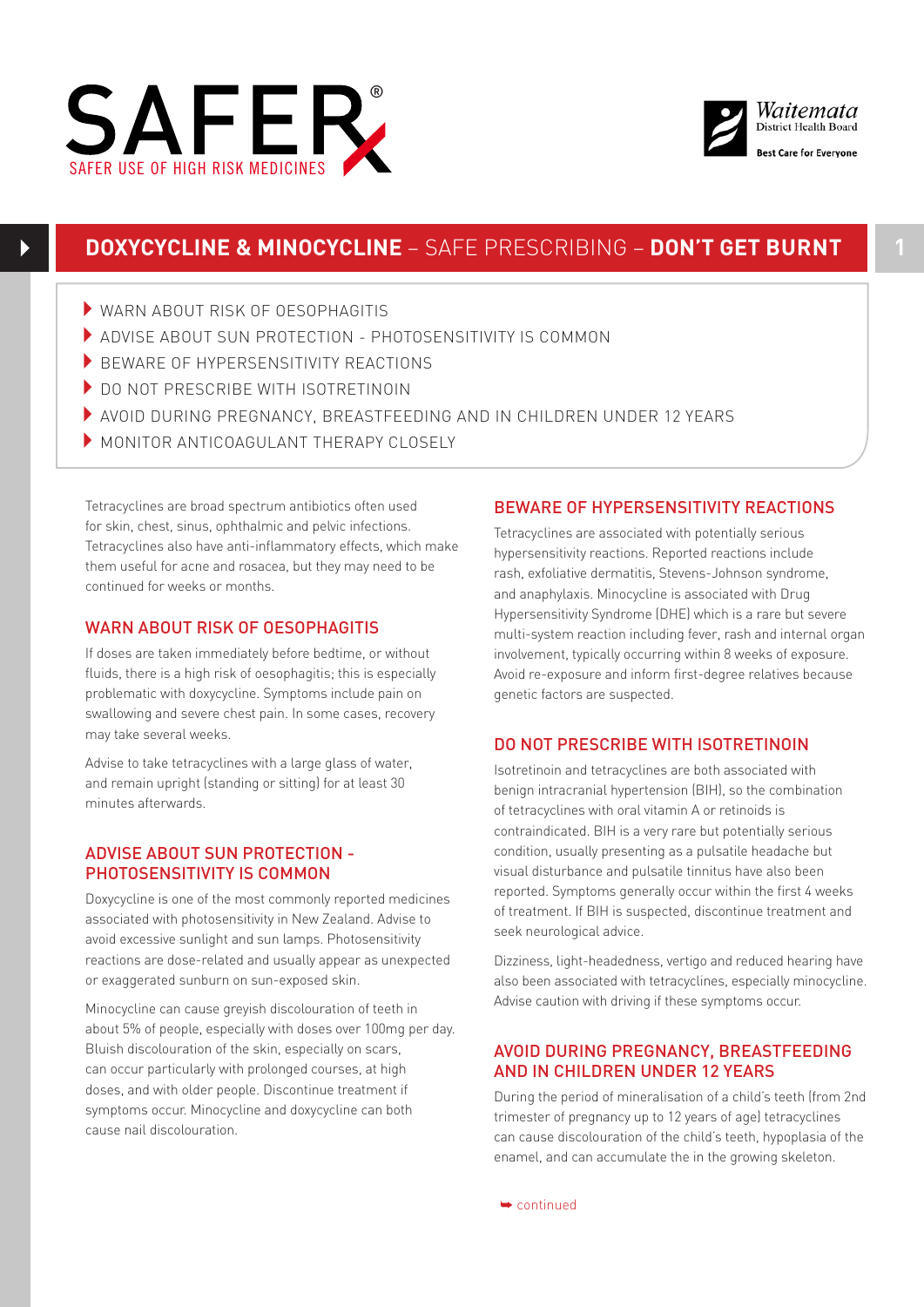



# **DOXYCYCLINE & MINOCYCLINE** – SAFE PRESCRIBING – **DON'T GET BURNT**

- $\blacktriangleright$  WARN ABOUT RISK OF OFSOPHAGITIS
- 4ADVISE ABOUT SUN PROTECTION PHOTOSENSITIVITY IS COMMON
- BEWARE OF HYPERSENSITIVITY REACTIONS
- DO NOT PRESCRIBE WITH ISOTRETINOIN
- 4AVOID DURING PREGNANCY, BREASTFEEDING AND IN CHILDREN UNDER 12 YEARS
- MONITOR ANTICOAGULANT THERAPY CLOSELY

Tetracyclines are broad spectrum antibiotics often used for skin, chest, sinus, ophthalmic and pelvic infections. Tetracyclines also have anti-inflammatory effects, which make them useful for acne and rosacea, but they may need to be continued for weeks or months.

### WARN ABOUT RISK OF OESOPHAGITIS

If doses are taken immediately before bedtime, or without fluids, there is a high risk of oesophagitis; this is especially problematic with doxycycline. Symptoms include pain on swallowing and severe chest pain. In some cases, recovery may take several weeks.

Advise to take tetracyclines with a large glass of water, and remain upright (standing or sitting) for at least 30 minutes afterwards.

### ADVISE ABOUT SUN PROTECTION - PHOTOSENSITIVITY IS COMMON

Doxycycline is one of the most commonly reported medicines associated with photosensitivity in New Zealand. Advise to avoid excessive sunlight and sun lamps. Photosensitivity reactions are dose-related and usually appear as unexpected or exaggerated sunburn on sun-exposed skin.

Minocycline can cause greyish discolouration of teeth in about 5% of people, especially with doses over 100mg per day. Bluish discolouration of the skin, especially on scars, can occur particularly with prolonged courses, at high doses, and with older people. Discontinue treatment if symptoms occur. Minocycline and doxycycline can both cause nail discolouration.

### BEWARE OF HYPERSENSITIVITY REACTIONS

Tetracyclines are associated with potentially serious hypersensitivity reactions. Reported reactions include rash, exfoliative dermatitis, Stevens-Johnson syndrome, and anaphylaxis. Minocycline is associated with Drug Hypersensitivity Syndrome (DHE) which is a rare but severe multi-system reaction including fever, rash and internal organ involvement, typically occurring within 8 weeks of exposure. Avoid re-exposure and inform first-degree relatives because genetic factors are suspected.

### DO NOT PRESCRIBE WITH ISOTRETINOIN

Isotretinoin and tetracyclines are both associated with benign intracranial hypertension (BIH), so the combination of tetracyclines with oral vitamin A or retinoids is contraindicated. BIH is a very rare but potentially serious condition, usually presenting as a pulsatile headache but visual disturbance and pulsatile tinnitus have also been reported. Symptoms generally occur within the first 4 weeks of treatment. If BIH is suspected, discontinue treatment and seek neurological advice.

Dizziness, light-headedness, vertigo and reduced hearing have also been associated with tetracyclines, especially minocycline. Advise caution with driving if these symptoms occur.

#### AVOID DURING PREGNANCY, BREASTFEEDING AND IN CHILDREN UNDER 12 YEARS

During the period of mineralisation of a child's teeth (from 2nd trimester of pregnancy up to 12 years of age) tetracyclines can cause discolouration of the child's teeth, hypoplasia of the enamel, and can accumulate the in the growing skeleton.

➥ continued